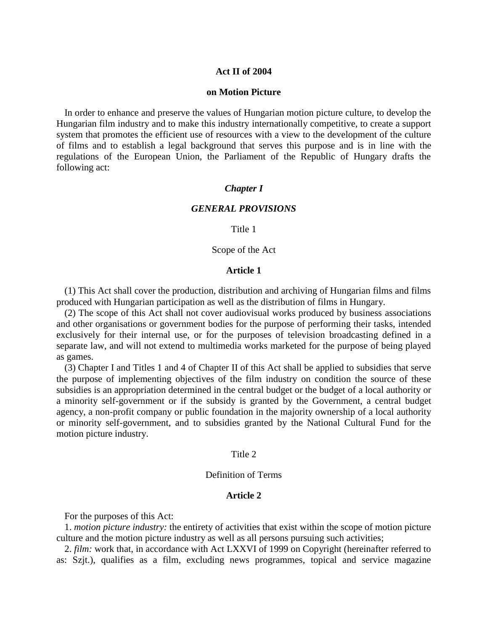### **Act II of 2004**

### **on Motion Picture**

In order to enhance and preserve the values of Hungarian motion picture culture, to develop the Hungarian film industry and to make this industry internationally competitive, to create a support system that promotes the efficient use of resources with a view to the development of the culture of films and to establish a legal background that serves this purpose and is in line with the regulations of the European Union, the Parliament of the Republic of Hungary drafts the following act:

## *Chapter I*

#### *GENERAL PROVISIONS*

Title 1

Scope of the Act

#### **Article 1**

(1) This Act shall cover the production, distribution and archiving of Hungarian films and films produced with Hungarian participation as well as the distribution of films in Hungary.

(2) The scope of this Act shall not cover audiovisual works produced by business associations and other organisations or government bodies for the purpose of performing their tasks, intended exclusively for their internal use, or for the purposes of television broadcasting defined in a separate law, and will not extend to multimedia works marketed for the purpose of being played as games.

(3) Chapter I and Titles 1 and 4 of Chapter II of this Act shall be applied to subsidies that serve the purpose of implementing objectives of the film industry on condition the source of these subsidies is an appropriation determined in the central budget or the budget of a local authority or a minority self-government or if the subsidy is granted by the Government, a central budget agency, a non-profit company or public foundation in the majority ownership of a local authority or minority self-government, and to subsidies granted by the National Cultural Fund for the motion picture industry.

### Title 2

# Definition of Terms

#### **Article 2**

For the purposes of this Act:

1. *motion picture industry:* the entirety of activities that exist within the scope of motion picture culture and the motion picture industry as well as all persons pursuing such activities;

2. *film:* work that, in accordance with Act LXXVI of 1999 on Copyright (hereinafter referred to as: Szjt.), qualifies as a film, excluding news programmes, topical and service magazine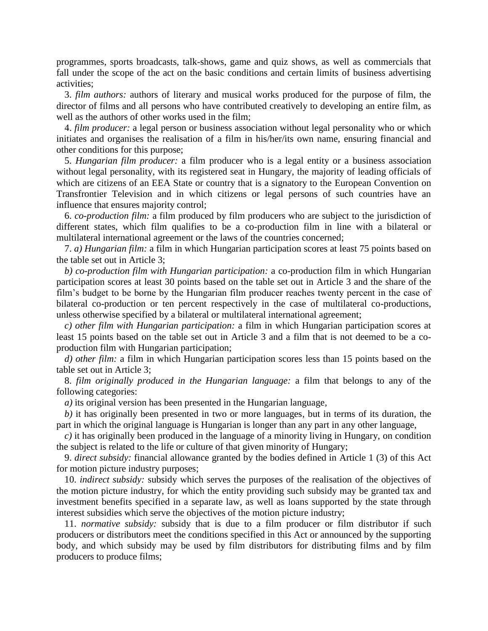programmes, sports broadcasts, talk-shows, game and quiz shows, as well as commercials that fall under the scope of the act on the basic conditions and certain limits of business advertising activities;

3. *film authors:* authors of literary and musical works produced for the purpose of film, the director of films and all persons who have contributed creatively to developing an entire film, as well as the authors of other works used in the film;

4. *film producer:* a legal person or business association without legal personality who or which initiates and organises the realisation of a film in his/her/its own name, ensuring financial and other conditions for this purpose;

5. *Hungarian film producer:* a film producer who is a legal entity or a business association without legal personality, with its registered seat in Hungary, the majority of leading officials of which are citizens of an EEA State or country that is a signatory to the European Convention on Transfrontier Television and in which citizens or legal persons of such countries have an influence that ensures majority control;

6. *co-production film:* a film produced by film producers who are subject to the jurisdiction of different states, which film qualifies to be a co-production film in line with a bilateral or multilateral international agreement or the laws of the countries concerned;

7. *a) Hungarian film:* a film in which Hungarian participation scores at least 75 points based on the table set out in Article 3;

*b) co-production film with Hungarian participation:* a co-production film in which Hungarian participation scores at least 30 points based on the table set out in Article 3 and the share of the film"s budget to be borne by the Hungarian film producer reaches twenty percent in the case of bilateral co-production or ten percent respectively in the case of multilateral co-productions, unless otherwise specified by a bilateral or multilateral international agreement;

*c) other film with Hungarian participation:* a film in which Hungarian participation scores at least 15 points based on the table set out in Article 3 and a film that is not deemed to be a coproduction film with Hungarian participation;

*d) other film:* a film in which Hungarian participation scores less than 15 points based on the table set out in Article 3;

8. *film originally produced in the Hungarian language:* a film that belongs to any of the following categories:

*a)* its original version has been presented in the Hungarian language,

*b)* it has originally been presented in two or more languages, but in terms of its duration, the part in which the original language is Hungarian is longer than any part in any other language,

*c)* it has originally been produced in the language of a minority living in Hungary, on condition the subject is related to the life or culture of that given minority of Hungary;

9. *direct subsidy:* financial allowance granted by the bodies defined in Article 1 (3) of this Act for motion picture industry purposes;

10. *indirect subsidy:* subsidy which serves the purposes of the realisation of the objectives of the motion picture industry, for which the entity providing such subsidy may be granted tax and investment benefits specified in a separate law, as well as loans supported by the state through interest subsidies which serve the objectives of the motion picture industry;

11. *normative subsidy:* subsidy that is due to a film producer or film distributor if such producers or distributors meet the conditions specified in this Act or announced by the supporting body, and which subsidy may be used by film distributors for distributing films and by film producers to produce films;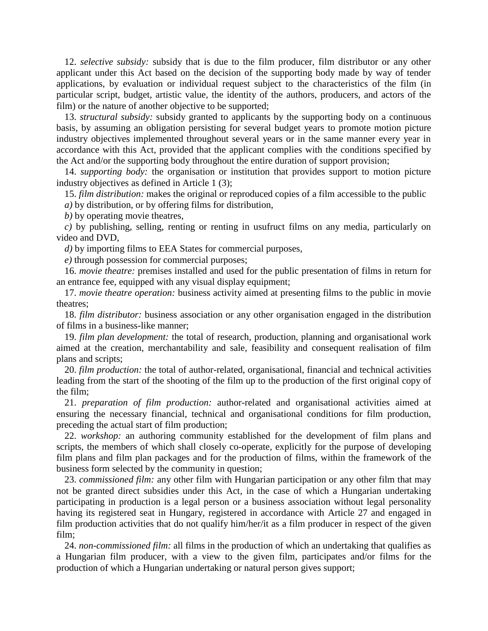12. *selective subsidy:* subsidy that is due to the film producer, film distributor or any other applicant under this Act based on the decision of the supporting body made by way of tender applications, by evaluation or individual request subject to the characteristics of the film (in particular script, budget, artistic value, the identity of the authors, producers, and actors of the film) or the nature of another objective to be supported;

13. *structural subsidy:* subsidy granted to applicants by the supporting body on a continuous basis, by assuming an obligation persisting for several budget years to promote motion picture industry objectives implemented throughout several years or in the same manner every year in accordance with this Act, provided that the applicant complies with the conditions specified by the Act and/or the supporting body throughout the entire duration of support provision;

14. *supporting body:* the organisation or institution that provides support to motion picture industry objectives as defined in Article 1 (3);

15. *film distribution:* makes the original or reproduced copies of a film accessible to the public

*a)* by distribution, or by offering films for distribution,

*b)* by operating movie theatres,

*c)* by publishing, selling, renting or renting in usufruct films on any media, particularly on video and DVD,

*d)* by importing films to EEA States for commercial purposes,

*e)* through possession for commercial purposes;

16. *movie theatre:* premises installed and used for the public presentation of films in return for an entrance fee, equipped with any visual display equipment;

17. *movie theatre operation:* business activity aimed at presenting films to the public in movie theatres;

18. *film distributor:* business association or any other organisation engaged in the distribution of films in a business-like manner;

19. *film plan development:* the total of research, production, planning and organisational work aimed at the creation, merchantability and sale, feasibility and consequent realisation of film plans and scripts;

20. *film production:* the total of author-related, organisational, financial and technical activities leading from the start of the shooting of the film up to the production of the first original copy of the film;

21. *preparation of film production:* author-related and organisational activities aimed at ensuring the necessary financial, technical and organisational conditions for film production, preceding the actual start of film production;

22. *workshop:* an authoring community established for the development of film plans and scripts, the members of which shall closely co-operate, explicitly for the purpose of developing film plans and film plan packages and for the production of films, within the framework of the business form selected by the community in question;

23. *commissioned film:* any other film with Hungarian participation or any other film that may not be granted direct subsidies under this Act, in the case of which a Hungarian undertaking participating in production is a legal person or a business association without legal personality having its registered seat in Hungary, registered in accordance with Article 27 and engaged in film production activities that do not qualify him/her/it as a film producer in respect of the given film;

24. *non-commissioned film:* all films in the production of which an undertaking that qualifies as a Hungarian film producer, with a view to the given film, participates and/or films for the production of which a Hungarian undertaking or natural person gives support;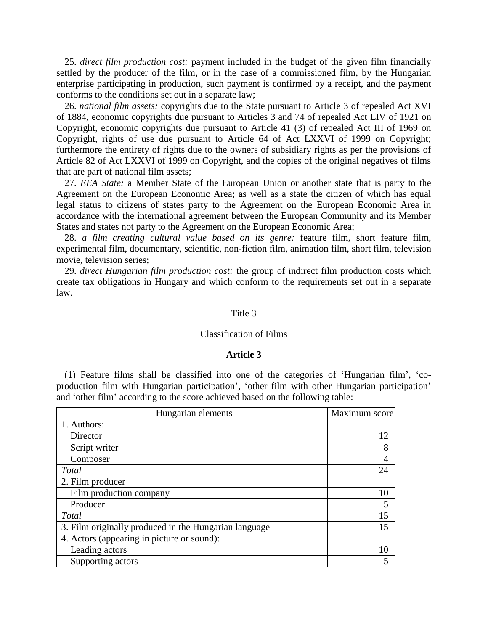25. *direct film production cost:* payment included in the budget of the given film financially settled by the producer of the film, or in the case of a commissioned film, by the Hungarian enterprise participating in production, such payment is confirmed by a receipt, and the payment conforms to the conditions set out in a separate law;

26. *national film assets:* copyrights due to the State pursuant to Article 3 of repealed Act XVI of 1884, economic copyrights due pursuant to Articles 3 and 74 of repealed Act LIV of 1921 on Copyright, economic copyrights due pursuant to Article 41 (3) of repealed Act III of 1969 on Copyright, rights of use due pursuant to Article 64 of Act LXXVI of 1999 on Copyright; furthermore the entirety of rights due to the owners of subsidiary rights as per the provisions of Article 82 of Act LXXVI of 1999 on Copyright, and the copies of the original negatives of films that are part of national film assets;

27. *EEA State:* a Member State of the European Union or another state that is party to the Agreement on the European Economic Area; as well as a state the citizen of which has equal legal status to citizens of states party to the Agreement on the European Economic Area in accordance with the international agreement between the European Community and its Member States and states not party to the Agreement on the European Economic Area;

28. *a film creating cultural value based on its genre:* feature film, short feature film, experimental film, documentary, scientific, non-fiction film, animation film, short film, television movie, television series;

29. *direct Hungarian film production cost:* the group of indirect film production costs which create tax obligations in Hungary and which conform to the requirements set out in a separate law.

#### Title 3

### Classification of Films

# **Article 3**

(1) Feature films shall be classified into one of the categories of "Hungarian film", "coproduction film with Hungarian participation', 'other film with other Hungarian participation' and "other film" according to the score achieved based on the following table:

| Hungarian elements                                    | Maximum score |
|-------------------------------------------------------|---------------|
| 1. Authors:                                           |               |
| Director                                              | 12            |
| Script writer                                         | 8             |
| Composer                                              | 4             |
| Total                                                 | 24            |
| 2. Film producer                                      |               |
| Film production company                               | 10            |
| Producer                                              |               |
| Total                                                 | 15            |
| 3. Film originally produced in the Hungarian language | 15            |
| 4. Actors (appearing in picture or sound):            |               |
| Leading actors                                        | 10            |
| Supporting actors                                     |               |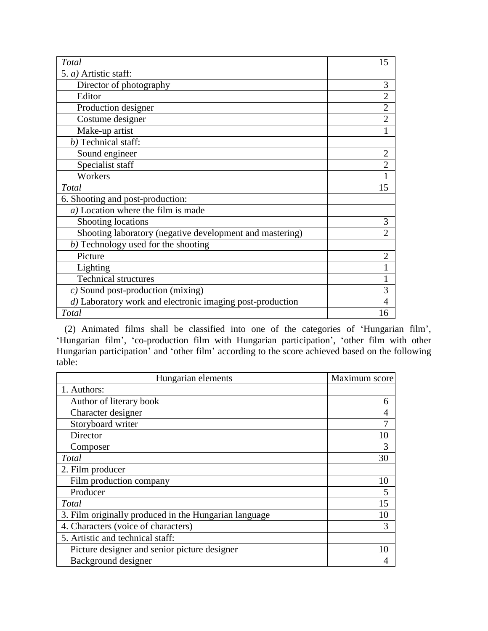| Total                                                     | 15             |
|-----------------------------------------------------------|----------------|
| 5. a) Artistic staff:                                     |                |
| Director of photography                                   | 3              |
| Editor                                                    | $\overline{2}$ |
| Production designer                                       | $\overline{c}$ |
| Costume designer                                          | $\overline{2}$ |
| Make-up artist                                            | 1              |
| $b)$ Technical staff:                                     |                |
| Sound engineer                                            | $\overline{2}$ |
| Specialist staff                                          | $\overline{2}$ |
| Workers                                                   | 1              |
| Total                                                     | 15             |
| 6. Shooting and post-production:                          |                |
| $a)$ Location where the film is made                      |                |
| Shooting locations                                        | 3              |
| Shooting laboratory (negative development and mastering)  | $\overline{2}$ |
| b) Technology used for the shooting                       |                |
| Picture                                                   | $\overline{2}$ |
| Lighting                                                  | 1              |
| <b>Technical structures</b>                               |                |
| $c)$ Sound post-production (mixing)                       | 3              |
| d) Laboratory work and electronic imaging post-production | 4              |
| Total                                                     | 16             |

(2) Animated films shall be classified into one of the categories of "Hungarian film", 'Hungarian film', 'co-production film with Hungarian participation', 'other film with other Hungarian participation" and "other film" according to the score achieved based on the following table:

| Hungarian elements                                    | Maximum score |
|-------------------------------------------------------|---------------|
| 1. Authors:                                           |               |
| Author of literary book                               | 6             |
| Character designer                                    |               |
| Storyboard writer                                     |               |
| Director                                              | 10            |
| Composer                                              | 3             |
| Total                                                 | 30            |
| 2. Film producer                                      |               |
| Film production company                               | 10            |
| Producer                                              |               |
| Total                                                 | 15            |
| 3. Film originally produced in the Hungarian language | 10            |
| 4. Characters (voice of characters)                   |               |
| 5. Artistic and technical staff:                      |               |
| Picture designer and senior picture designer          | 10            |
| Background designer                                   |               |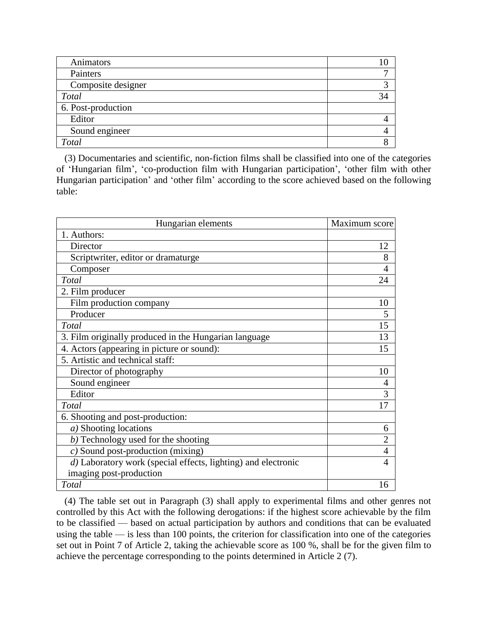| Animators          |    |
|--------------------|----|
| Painters           |    |
| Composite designer |    |
| Total              | 34 |
| 6. Post-production |    |
| Editor             |    |
| Sound engineer     |    |
| Total              |    |

(3) Documentaries and scientific, non-fiction films shall be classified into one of the categories of "Hungarian film", "co-production film with Hungarian participation", "other film with other Hungarian participation' and 'other film' according to the score achieved based on the following table:

| Hungarian elements                                            | Maximum score  |
|---------------------------------------------------------------|----------------|
| 1. Authors:                                                   |                |
| Director                                                      | 12             |
| Scriptwriter, editor or dramaturge                            | 8              |
| Composer                                                      | $\overline{4}$ |
| Total                                                         | 24             |
| 2. Film producer                                              |                |
| Film production company                                       | 10             |
| Producer                                                      | 5              |
| Total                                                         | 15             |
| 3. Film originally produced in the Hungarian language         | 13             |
| 4. Actors (appearing in picture or sound):                    | 15             |
| 5. Artistic and technical staff:                              |                |
| Director of photography                                       | 10             |
| Sound engineer                                                | 4              |
| Editor                                                        | 3              |
| Total                                                         | 17             |
| 6. Shooting and post-production:                              |                |
| $a)$ Shooting locations                                       | 6              |
| b) Technology used for the shooting                           | $\overline{2}$ |
| $c)$ Sound post-production (mixing)                           | $\overline{4}$ |
| d) Laboratory work (special effects, lighting) and electronic | $\overline{4}$ |
| imaging post-production                                       |                |
| Total                                                         | 16             |

(4) The table set out in Paragraph (3) shall apply to experimental films and other genres not controlled by this Act with the following derogations: if the highest score achievable by the film to be classified — based on actual participation by authors and conditions that can be evaluated using the table — is less than 100 points, the criterion for classification into one of the categories set out in Point 7 of Article 2, taking the achievable score as 100 %, shall be for the given film to achieve the percentage corresponding to the points determined in Article 2 (7).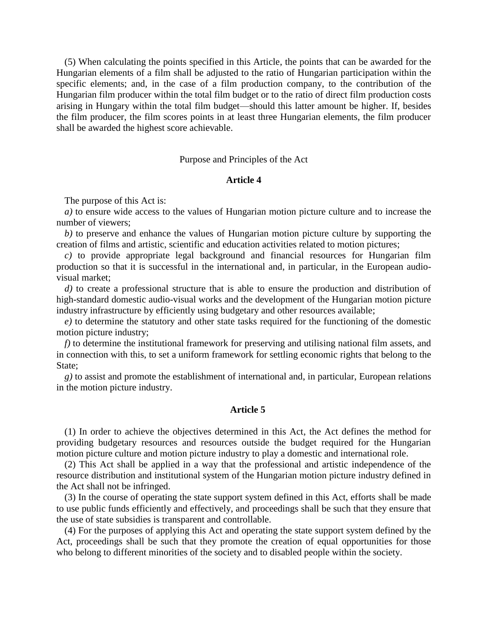(5) When calculating the points specified in this Article, the points that can be awarded for the Hungarian elements of a film shall be adjusted to the ratio of Hungarian participation within the specific elements; and, in the case of a film production company, to the contribution of the Hungarian film producer within the total film budget or to the ratio of direct film production costs arising in Hungary within the total film budget—should this latter amount be higher. If, besides the film producer, the film scores points in at least three Hungarian elements, the film producer shall be awarded the highest score achievable.

# Purpose and Principles of the Act

# **Article 4**

The purpose of this Act is:

*a)* to ensure wide access to the values of Hungarian motion picture culture and to increase the number of viewers;

*b)* to preserve and enhance the values of Hungarian motion picture culture by supporting the creation of films and artistic, scientific and education activities related to motion pictures;

*c)* to provide appropriate legal background and financial resources for Hungarian film production so that it is successful in the international and, in particular, in the European audiovisual market;

*d)* to create a professional structure that is able to ensure the production and distribution of high-standard domestic audio-visual works and the development of the Hungarian motion picture industry infrastructure by efficiently using budgetary and other resources available;

*e)* to determine the statutory and other state tasks required for the functioning of the domestic motion picture industry;

*f)* to determine the institutional framework for preserving and utilising national film assets, and in connection with this, to set a uniform framework for settling economic rights that belong to the State;

*g)* to assist and promote the establishment of international and, in particular, European relations in the motion picture industry.

## **Article 5**

(1) In order to achieve the objectives determined in this Act, the Act defines the method for providing budgetary resources and resources outside the budget required for the Hungarian motion picture culture and motion picture industry to play a domestic and international role.

(2) This Act shall be applied in a way that the professional and artistic independence of the resource distribution and institutional system of the Hungarian motion picture industry defined in the Act shall not be infringed.

(3) In the course of operating the state support system defined in this Act, efforts shall be made to use public funds efficiently and effectively, and proceedings shall be such that they ensure that the use of state subsidies is transparent and controllable.

(4) For the purposes of applying this Act and operating the state support system defined by the Act, proceedings shall be such that they promote the creation of equal opportunities for those who belong to different minorities of the society and to disabled people within the society.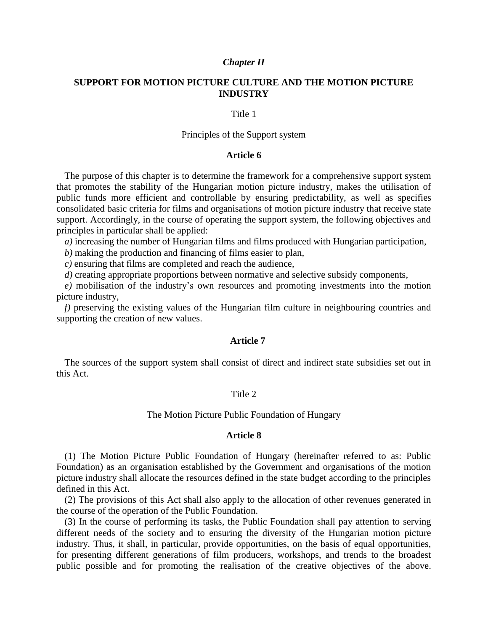## *Chapter II*

# **SUPPORT FOR MOTION PICTURE CULTURE AND THE MOTION PICTURE INDUSTRY**

### Title 1

#### Principles of the Support system

## **Article 6**

The purpose of this chapter is to determine the framework for a comprehensive support system that promotes the stability of the Hungarian motion picture industry, makes the utilisation of public funds more efficient and controllable by ensuring predictability, as well as specifies consolidated basic criteria for films and organisations of motion picture industry that receive state support. Accordingly, in the course of operating the support system, the following objectives and principles in particular shall be applied:

*a)* increasing the number of Hungarian films and films produced with Hungarian participation,

*b)* making the production and financing of films easier to plan,

*c)* ensuring that films are completed and reach the audience,

*d*) creating appropriate proportions between normative and selective subsidy components,

*e)* mobilisation of the industry"s own resources and promoting investments into the motion picture industry,

*f)* preserving the existing values of the Hungarian film culture in neighbouring countries and supporting the creation of new values.

#### **Article 7**

The sources of the support system shall consist of direct and indirect state subsidies set out in this Act.

## Title 2

#### The Motion Picture Public Foundation of Hungary

#### **Article 8**

(1) The Motion Picture Public Foundation of Hungary (hereinafter referred to as: Public Foundation) as an organisation established by the Government and organisations of the motion picture industry shall allocate the resources defined in the state budget according to the principles defined in this Act.

(2) The provisions of this Act shall also apply to the allocation of other revenues generated in the course of the operation of the Public Foundation.

(3) In the course of performing its tasks, the Public Foundation shall pay attention to serving different needs of the society and to ensuring the diversity of the Hungarian motion picture industry. Thus, it shall, in particular, provide opportunities, on the basis of equal opportunities, for presenting different generations of film producers, workshops, and trends to the broadest public possible and for promoting the realisation of the creative objectives of the above.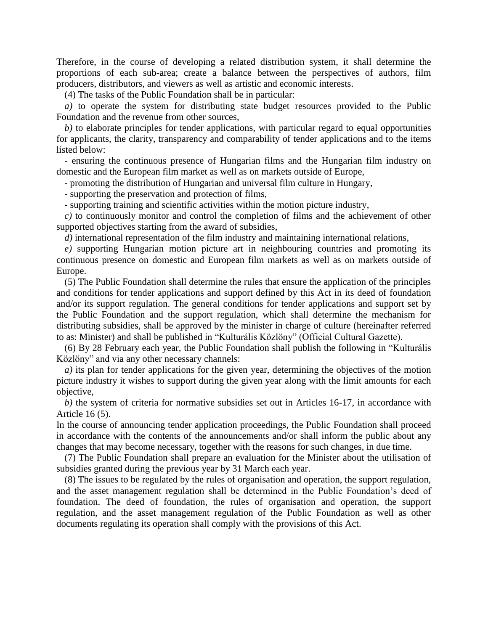Therefore, in the course of developing a related distribution system, it shall determine the proportions of each sub-area; create a balance between the perspectives of authors, film producers, distributors, and viewers as well as artistic and economic interests.

(4) The tasks of the Public Foundation shall be in particular:

*a)* to operate the system for distributing state budget resources provided to the Public Foundation and the revenue from other sources,

*b)* to elaborate principles for tender applications, with particular regard to equal opportunities for applicants, the clarity, transparency and comparability of tender applications and to the items listed below:

- ensuring the continuous presence of Hungarian films and the Hungarian film industry on domestic and the European film market as well as on markets outside of Europe,

- promoting the distribution of Hungarian and universal film culture in Hungary,

- supporting the preservation and protection of films,

- supporting training and scientific activities within the motion picture industry,

*c)* to continuously monitor and control the completion of films and the achievement of other supported objectives starting from the award of subsidies,

*d)* international representation of the film industry and maintaining international relations,

*e)* supporting Hungarian motion picture art in neighbouring countries and promoting its continuous presence on domestic and European film markets as well as on markets outside of Europe.

(5) The Public Foundation shall determine the rules that ensure the application of the principles and conditions for tender applications and support defined by this Act in its deed of foundation and/or its support regulation. The general conditions for tender applications and support set by the Public Foundation and the support regulation, which shall determine the mechanism for distributing subsidies, shall be approved by the minister in charge of culture (hereinafter referred to as: Minister) and shall be published in "Kulturális Közlöny" (Official Cultural Gazette).

(6) By 28 February each year, the Public Foundation shall publish the following in "Kulturális Közlöny" and via any other necessary channels:

*a)* its plan for tender applications for the given year, determining the objectives of the motion picture industry it wishes to support during the given year along with the limit amounts for each objective,

*b)* the system of criteria for normative subsidies set out in Articles 16-17, in accordance with Article 16 (5).

In the course of announcing tender application proceedings, the Public Foundation shall proceed in accordance with the contents of the announcements and/or shall inform the public about any changes that may become necessary, together with the reasons for such changes, in due time.

(7) The Public Foundation shall prepare an evaluation for the Minister about the utilisation of subsidies granted during the previous year by 31 March each year.

(8) The issues to be regulated by the rules of organisation and operation, the support regulation, and the asset management regulation shall be determined in the Public Foundation"s deed of foundation. The deed of foundation, the rules of organisation and operation, the support regulation, and the asset management regulation of the Public Foundation as well as other documents regulating its operation shall comply with the provisions of this Act.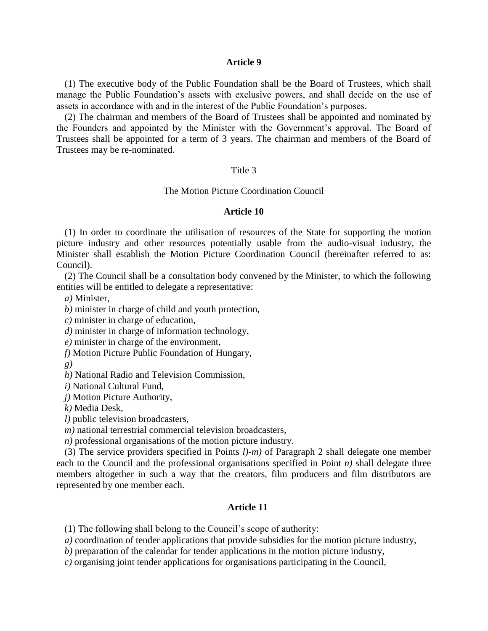# **Article 9**

(1) The executive body of the Public Foundation shall be the Board of Trustees, which shall manage the Public Foundation"s assets with exclusive powers, and shall decide on the use of assets in accordance with and in the interest of the Public Foundation"s purposes.

(2) The chairman and members of the Board of Trustees shall be appointed and nominated by the Founders and appointed by the Minister with the Government's approval. The Board of Trustees shall be appointed for a term of 3 years. The chairman and members of the Board of Trustees may be re-nominated.

## Title 3

### The Motion Picture Coordination Council

# **Article 10**

(1) In order to coordinate the utilisation of resources of the State for supporting the motion picture industry and other resources potentially usable from the audio-visual industry, the Minister shall establish the Motion Picture Coordination Council (hereinafter referred to as: Council).

(2) The Council shall be a consultation body convened by the Minister, to which the following entities will be entitled to delegate a representative:

*a)* Minister,

*b)* minister in charge of child and youth protection,

*c)* minister in charge of education,

*d)* minister in charge of information technology,

*e)* minister in charge of the environment,

*f)* Motion Picture Public Foundation of Hungary,

*g)*

*h)* National Radio and Television Commission,

*i)* National Cultural Fund,

*j)* Motion Picture Authority,

*k)* Media Desk,

*l)* public television broadcasters,

*m*) national terrestrial commercial television broadcasters,

*n)* professional organisations of the motion picture industry.

(3) The service providers specified in Points *l)-m)* of Paragraph 2 shall delegate one member each to the Council and the professional organisations specified in Point *n)* shall delegate three members altogether in such a way that the creators, film producers and film distributors are represented by one member each.

#### **Article 11**

(1) The following shall belong to the Council"s scope of authority:

*a)* coordination of tender applications that provide subsidies for the motion picture industry,

*b)* preparation of the calendar for tender applications in the motion picture industry,

*c)* organising joint tender applications for organisations participating in the Council,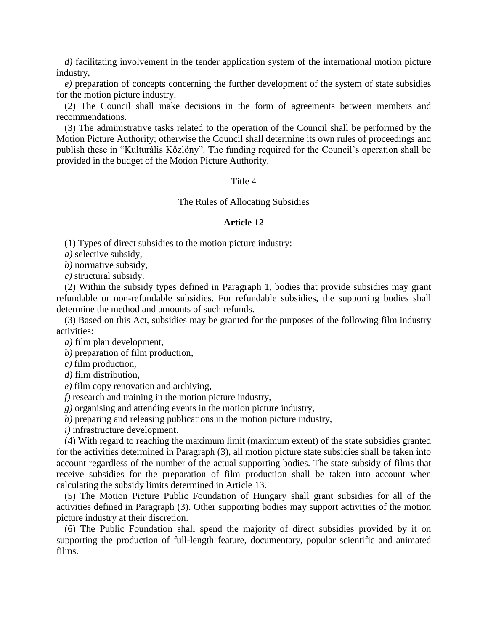*d*) facilitating involvement in the tender application system of the international motion picture industry,

*e)* preparation of concepts concerning the further development of the system of state subsidies for the motion picture industry.

(2) The Council shall make decisions in the form of agreements between members and recommendations.

(3) The administrative tasks related to the operation of the Council shall be performed by the Motion Picture Authority; otherwise the Council shall determine its own rules of proceedings and publish these in "Kulturális Közlöny". The funding required for the Council"s operation shall be provided in the budget of the Motion Picture Authority.

### Title 4

The Rules of Allocating Subsidies

## **Article 12**

(1) Types of direct subsidies to the motion picture industry:

*a)* selective subsidy,

*b)* normative subsidy,

*c)* structural subsidy.

(2) Within the subsidy types defined in Paragraph 1, bodies that provide subsidies may grant refundable or non-refundable subsidies. For refundable subsidies, the supporting bodies shall determine the method and amounts of such refunds.

(3) Based on this Act, subsidies may be granted for the purposes of the following film industry activities:

*a)* film plan development,

*b)* preparation of film production,

*c)* film production,

*d)* film distribution,

*e)* film copy renovation and archiving,

*f)* research and training in the motion picture industry,

*g)* organising and attending events in the motion picture industry,

*h)* preparing and releasing publications in the motion picture industry,

*i)* infrastructure development.

(4) With regard to reaching the maximum limit (maximum extent) of the state subsidies granted for the activities determined in Paragraph (3), all motion picture state subsidies shall be taken into account regardless of the number of the actual supporting bodies. The state subsidy of films that receive subsidies for the preparation of film production shall be taken into account when calculating the subsidy limits determined in Article 13.

(5) The Motion Picture Public Foundation of Hungary shall grant subsidies for all of the activities defined in Paragraph (3). Other supporting bodies may support activities of the motion picture industry at their discretion.

(6) The Public Foundation shall spend the majority of direct subsidies provided by it on supporting the production of full-length feature, documentary, popular scientific and animated films.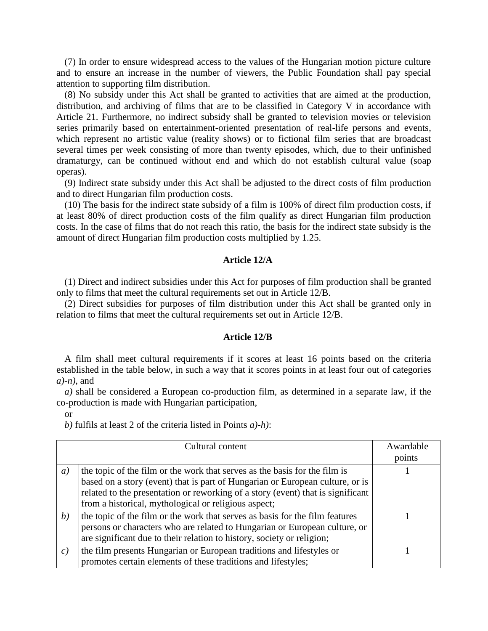(7) In order to ensure widespread access to the values of the Hungarian motion picture culture and to ensure an increase in the number of viewers, the Public Foundation shall pay special attention to supporting film distribution.

(8) No subsidy under this Act shall be granted to activities that are aimed at the production, distribution, and archiving of films that are to be classified in Category V in accordance with Article 21. Furthermore, no indirect subsidy shall be granted to television movies or television series primarily based on entertainment-oriented presentation of real-life persons and events, which represent no artistic value (reality shows) or to fictional film series that are broadcast several times per week consisting of more than twenty episodes, which, due to their unfinished dramaturgy, can be continued without end and which do not establish cultural value (soap operas).

(9) Indirect state subsidy under this Act shall be adjusted to the direct costs of film production and to direct Hungarian film production costs.

(10) The basis for the indirect state subsidy of a film is 100% of direct film production costs, if at least 80% of direct production costs of the film qualify as direct Hungarian film production costs. In the case of films that do not reach this ratio, the basis for the indirect state subsidy is the amount of direct Hungarian film production costs multiplied by 1.25.

## **Article 12/A**

(1) Direct and indirect subsidies under this Act for purposes of film production shall be granted only to films that meet the cultural requirements set out in Article 12/B.

(2) Direct subsidies for purposes of film distribution under this Act shall be granted only in relation to films that meet the cultural requirements set out in Article 12/B.

## **Article 12/B**

A film shall meet cultural requirements if it scores at least 16 points based on the criteria established in the table below, in such a way that it scores points in at least four out of categories *a)-n)*, and

*a)* shall be considered a European co-production film, as determined in a separate law, if the co-production is made with Hungarian participation,

or

*b)* fulfils at least 2 of the criteria listed in Points *a)-h)*:

|               | Cultural content                                                                | Awardable<br>points |
|---------------|---------------------------------------------------------------------------------|---------------------|
| a)            | the topic of the film or the work that serves as the basis for the film is      |                     |
|               | based on a story (event) that is part of Hungarian or European culture, or is   |                     |
|               | related to the presentation or reworking of a story (event) that is significant |                     |
|               | from a historical, mythological or religious aspect;                            |                     |
| (b)           | the topic of the film or the work that serves as basis for the film features    |                     |
|               | persons or characters who are related to Hungarian or European culture, or      |                     |
|               | are significant due to their relation to history, society or religion;          |                     |
| $\mathcal{C}$ | the film presents Hungarian or European traditions and lifestyles or            |                     |
|               | promotes certain elements of these traditions and lifestyles;                   |                     |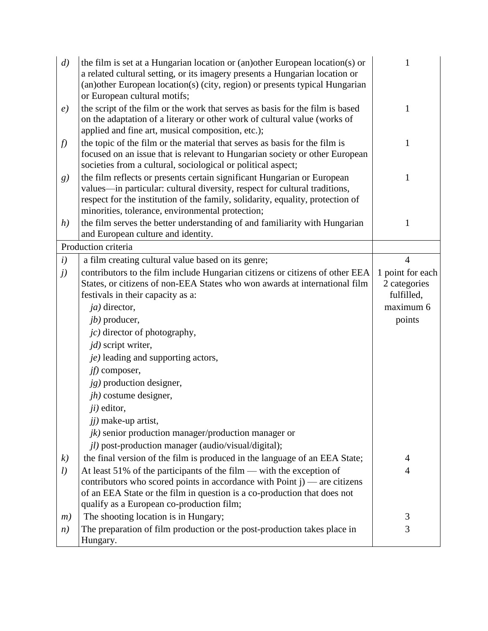| $\left( d\right)$ | the film is set at a Hungarian location or (an) other European location(s) or<br>a related cultural setting, or its imagery presents a Hungarian location or<br>(an) other European location(s) (city, region) or presents typical Hungarian<br>or European cultural motifs;                |                  |
|-------------------|---------------------------------------------------------------------------------------------------------------------------------------------------------------------------------------------------------------------------------------------------------------------------------------------|------------------|
| e)                | the script of the film or the work that serves as basis for the film is based<br>on the adaptation of a literary or other work of cultural value (works of<br>applied and fine art, musical composition, etc.);                                                                             | 1                |
| f                 | the topic of the film or the material that serves as basis for the film is<br>focused on an issue that is relevant to Hungarian society or other European<br>societies from a cultural, sociological or political aspect;                                                                   | 1                |
| g)                | the film reflects or presents certain significant Hungarian or European<br>values—in particular: cultural diversity, respect for cultural traditions,<br>respect for the institution of the family, solidarity, equality, protection of<br>minorities, tolerance, environmental protection; | 1                |
| h)                | the film serves the better understanding of and familiarity with Hungarian<br>and European culture and identity.                                                                                                                                                                            | 1                |
|                   | Production criteria                                                                                                                                                                                                                                                                         |                  |
| $\left(i\right)$  | a film creating cultural value based on its genre;                                                                                                                                                                                                                                          | $\overline{4}$   |
| j)                | contributors to the film include Hungarian citizens or citizens of other EEA                                                                                                                                                                                                                | 1 point for each |
|                   | States, or citizens of non-EEA States who won awards at international film                                                                                                                                                                                                                  | 2 categories     |
|                   | festivals in their capacity as a:                                                                                                                                                                                                                                                           | fulfilled,       |
|                   | <i>ja</i> ) director,                                                                                                                                                                                                                                                                       | maximum 6        |
|                   | $jb)$ producer,                                                                                                                                                                                                                                                                             | points           |
|                   | $jc$ ) director of photography,                                                                                                                                                                                                                                                             |                  |
|                   | $jd$ ) script writer,                                                                                                                                                                                                                                                                       |                  |
|                   | je) leading and supporting actors,                                                                                                                                                                                                                                                          |                  |
|                   | <i>jf</i> ) composer,                                                                                                                                                                                                                                                                       |                  |
|                   | jg) production designer,                                                                                                                                                                                                                                                                    |                  |
|                   | $jh)$ costume designer,                                                                                                                                                                                                                                                                     |                  |
|                   | ji) editor,                                                                                                                                                                                                                                                                                 |                  |
|                   | $jj$ ) make-up artist,                                                                                                                                                                                                                                                                      |                  |
|                   | $jk$ ) senior production manager/production manager or                                                                                                                                                                                                                                      |                  |
|                   | <i>il</i> ) post-production manager (audio/visual/digital);                                                                                                                                                                                                                                 |                  |
| k)                | the final version of the film is produced in the language of an EEA State;                                                                                                                                                                                                                  | 4                |
| l)                | At least 51% of the participants of the film $-$ with the exception of                                                                                                                                                                                                                      | $\overline{4}$   |
|                   | contributors who scored points in accordance with Point $j$ ) — are citizens                                                                                                                                                                                                                |                  |
|                   | of an EEA State or the film in question is a co-production that does not                                                                                                                                                                                                                    |                  |
|                   | qualify as a European co-production film;                                                                                                                                                                                                                                                   |                  |
| m)                | The shooting location is in Hungary;                                                                                                                                                                                                                                                        | 3                |
| n)                | The preparation of film production or the post-production takes place in                                                                                                                                                                                                                    | 3                |
|                   | Hungary.                                                                                                                                                                                                                                                                                    |                  |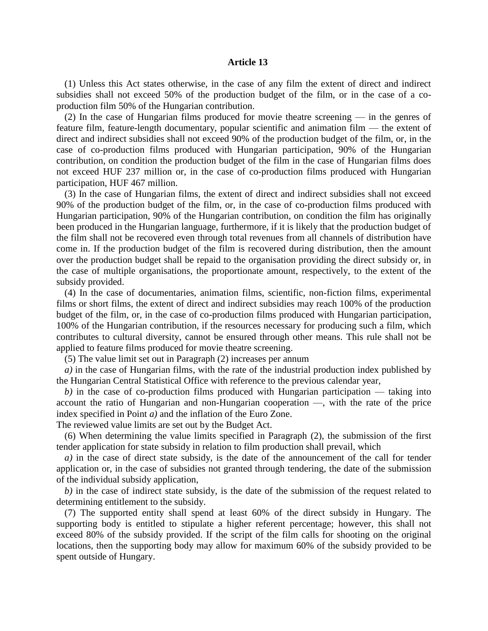#### **Article 13**

(1) Unless this Act states otherwise, in the case of any film the extent of direct and indirect subsidies shall not exceed 50% of the production budget of the film, or in the case of a coproduction film 50% of the Hungarian contribution.

(2) In the case of Hungarian films produced for movie theatre screening — in the genres of feature film, feature-length documentary, popular scientific and animation film — the extent of direct and indirect subsidies shall not exceed 90% of the production budget of the film, or, in the case of co-production films produced with Hungarian participation, 90% of the Hungarian contribution, on condition the production budget of the film in the case of Hungarian films does not exceed HUF 237 million or, in the case of co-production films produced with Hungarian participation, HUF 467 million.

(3) In the case of Hungarian films, the extent of direct and indirect subsidies shall not exceed 90% of the production budget of the film, or, in the case of co-production films produced with Hungarian participation, 90% of the Hungarian contribution, on condition the film has originally been produced in the Hungarian language, furthermore, if it is likely that the production budget of the film shall not be recovered even through total revenues from all channels of distribution have come in. If the production budget of the film is recovered during distribution, then the amount over the production budget shall be repaid to the organisation providing the direct subsidy or, in the case of multiple organisations, the proportionate amount, respectively, to the extent of the subsidy provided.

(4) In the case of documentaries, animation films, scientific, non-fiction films, experimental films or short films, the extent of direct and indirect subsidies may reach 100% of the production budget of the film, or, in the case of co-production films produced with Hungarian participation, 100% of the Hungarian contribution, if the resources necessary for producing such a film, which contributes to cultural diversity, cannot be ensured through other means. This rule shall not be applied to feature films produced for movie theatre screening.

(5) The value limit set out in Paragraph (2) increases per annum

*a)* in the case of Hungarian films, with the rate of the industrial production index published by the Hungarian Central Statistical Office with reference to the previous calendar year,

*b)* in the case of co-production films produced with Hungarian participation — taking into account the ratio of Hungarian and non-Hungarian cooperation —, with the rate of the price index specified in Point *a)* and the inflation of the Euro Zone.

The reviewed value limits are set out by the Budget Act.

(6) When determining the value limits specified in Paragraph (2), the submission of the first tender application for state subsidy in relation to film production shall prevail, which

*a)* in the case of direct state subsidy, is the date of the announcement of the call for tender application or, in the case of subsidies not granted through tendering, the date of the submission of the individual subsidy application,

*b)* in the case of indirect state subsidy, is the date of the submission of the request related to determining entitlement to the subsidy.

(7) The supported entity shall spend at least 60% of the direct subsidy in Hungary. The supporting body is entitled to stipulate a higher referent percentage; however, this shall not exceed 80% of the subsidy provided. If the script of the film calls for shooting on the original locations, then the supporting body may allow for maximum 60% of the subsidy provided to be spent outside of Hungary.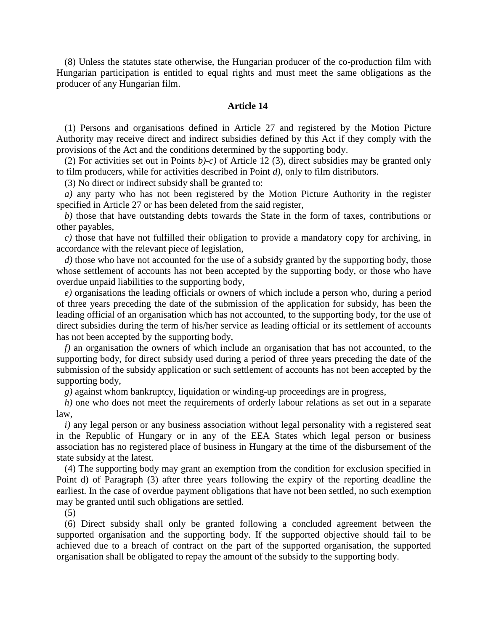(8) Unless the statutes state otherwise, the Hungarian producer of the co-production film with Hungarian participation is entitled to equal rights and must meet the same obligations as the producer of any Hungarian film.

# **Article 14**

(1) Persons and organisations defined in Article 27 and registered by the Motion Picture Authority may receive direct and indirect subsidies defined by this Act if they comply with the provisions of the Act and the conditions determined by the supporting body.

(2) For activities set out in Points *b)-c)* of Article 12 (3), direct subsidies may be granted only to film producers, while for activities described in Point *d)*, only to film distributors.

(3) No direct or indirect subsidy shall be granted to:

*a)* any party who has not been registered by the Motion Picture Authority in the register specified in Article 27 or has been deleted from the said register,

*b)* those that have outstanding debts towards the State in the form of taxes, contributions or other payables,

*c)* those that have not fulfilled their obligation to provide a mandatory copy for archiving, in accordance with the relevant piece of legislation,

*d*) those who have not accounted for the use of a subsidy granted by the supporting body, those whose settlement of accounts has not been accepted by the supporting body, or those who have overdue unpaid liabilities to the supporting body,

*e)* organisations the leading officials or owners of which include a person who, during a period of three years preceding the date of the submission of the application for subsidy, has been the leading official of an organisation which has not accounted, to the supporting body, for the use of direct subsidies during the term of his/her service as leading official or its settlement of accounts has not been accepted by the supporting body,

*f*) an organisation the owners of which include an organisation that has not accounted, to the supporting body, for direct subsidy used during a period of three years preceding the date of the submission of the subsidy application or such settlement of accounts has not been accepted by the supporting body,

*g)* against whom bankruptcy, liquidation or winding-up proceedings are in progress,

*h*) one who does not meet the requirements of orderly labour relations as set out in a separate law,

*i)* any legal person or any business association without legal personality with a registered seat in the Republic of Hungary or in any of the EEA States which legal person or business association has no registered place of business in Hungary at the time of the disbursement of the state subsidy at the latest.

(4) The supporting body may grant an exemption from the condition for exclusion specified in Point d) of Paragraph (3) after three years following the expiry of the reporting deadline the earliest. In the case of overdue payment obligations that have not been settled, no such exemption may be granted until such obligations are settled.

(5)

(6) Direct subsidy shall only be granted following a concluded agreement between the supported organisation and the supporting body. If the supported objective should fail to be achieved due to a breach of contract on the part of the supported organisation, the supported organisation shall be obligated to repay the amount of the subsidy to the supporting body.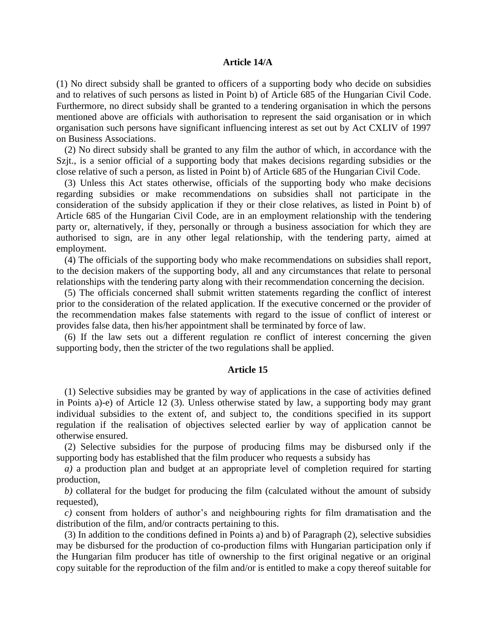## **Article 14/A**

(1) No direct subsidy shall be granted to officers of a supporting body who decide on subsidies and to relatives of such persons as listed in Point b) of Article 685 of the Hungarian Civil Code. Furthermore, no direct subsidy shall be granted to a tendering organisation in which the persons mentioned above are officials with authorisation to represent the said organisation or in which organisation such persons have significant influencing interest as set out by Act CXLIV of 1997 on Business Associations.

(2) No direct subsidy shall be granted to any film the author of which, in accordance with the Szjt., is a senior official of a supporting body that makes decisions regarding subsidies or the close relative of such a person, as listed in Point b) of Article 685 of the Hungarian Civil Code.

(3) Unless this Act states otherwise, officials of the supporting body who make decisions regarding subsidies or make recommendations on subsidies shall not participate in the consideration of the subsidy application if they or their close relatives, as listed in Point b) of Article 685 of the Hungarian Civil Code, are in an employment relationship with the tendering party or, alternatively, if they, personally or through a business association for which they are authorised to sign, are in any other legal relationship, with the tendering party, aimed at employment.

(4) The officials of the supporting body who make recommendations on subsidies shall report, to the decision makers of the supporting body, all and any circumstances that relate to personal relationships with the tendering party along with their recommendation concerning the decision.

(5) The officials concerned shall submit written statements regarding the conflict of interest prior to the consideration of the related application. If the executive concerned or the provider of the recommendation makes false statements with regard to the issue of conflict of interest or provides false data, then his/her appointment shall be terminated by force of law.

(6) If the law sets out a different regulation re conflict of interest concerning the given supporting body, then the stricter of the two regulations shall be applied.

## **Article 15**

(1) Selective subsidies may be granted by way of applications in the case of activities defined in Points a)-e) of Article 12 (3). Unless otherwise stated by law, a supporting body may grant individual subsidies to the extent of, and subject to, the conditions specified in its support regulation if the realisation of objectives selected earlier by way of application cannot be otherwise ensured.

(2) Selective subsidies for the purpose of producing films may be disbursed only if the supporting body has established that the film producer who requests a subsidy has

*a)* a production plan and budget at an appropriate level of completion required for starting production,

*b)* collateral for the budget for producing the film (calculated without the amount of subsidy requested),

*c)* consent from holders of author"s and neighbouring rights for film dramatisation and the distribution of the film, and/or contracts pertaining to this.

(3) In addition to the conditions defined in Points a) and b) of Paragraph (2), selective subsidies may be disbursed for the production of co-production films with Hungarian participation only if the Hungarian film producer has title of ownership to the first original negative or an original copy suitable for the reproduction of the film and/or is entitled to make a copy thereof suitable for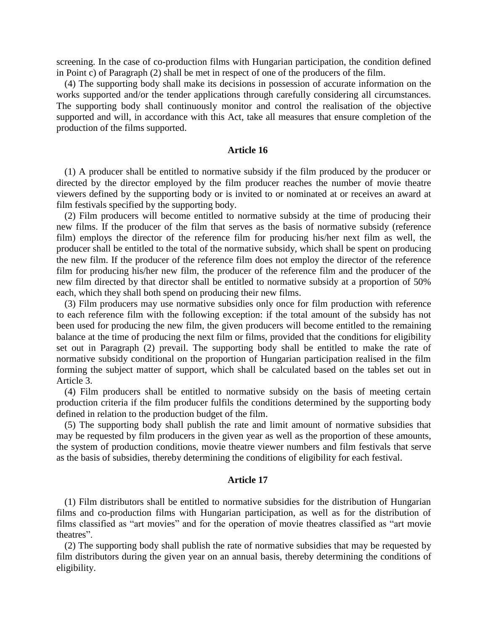screening. In the case of co-production films with Hungarian participation, the condition defined in Point c) of Paragraph (2) shall be met in respect of one of the producers of the film.

(4) The supporting body shall make its decisions in possession of accurate information on the works supported and/or the tender applications through carefully considering all circumstances. The supporting body shall continuously monitor and control the realisation of the objective supported and will, in accordance with this Act, take all measures that ensure completion of the production of the films supported.

## **Article 16**

(1) A producer shall be entitled to normative subsidy if the film produced by the producer or directed by the director employed by the film producer reaches the number of movie theatre viewers defined by the supporting body or is invited to or nominated at or receives an award at film festivals specified by the supporting body.

(2) Film producers will become entitled to normative subsidy at the time of producing their new films. If the producer of the film that serves as the basis of normative subsidy (reference film) employs the director of the reference film for producing his/her next film as well, the producer shall be entitled to the total of the normative subsidy, which shall be spent on producing the new film. If the producer of the reference film does not employ the director of the reference film for producing his/her new film, the producer of the reference film and the producer of the new film directed by that director shall be entitled to normative subsidy at a proportion of 50% each, which they shall both spend on producing their new films.

(3) Film producers may use normative subsidies only once for film production with reference to each reference film with the following exception: if the total amount of the subsidy has not been used for producing the new film, the given producers will become entitled to the remaining balance at the time of producing the next film or films, provided that the conditions for eligibility set out in Paragraph (2) prevail. The supporting body shall be entitled to make the rate of normative subsidy conditional on the proportion of Hungarian participation realised in the film forming the subject matter of support, which shall be calculated based on the tables set out in Article 3.

(4) Film producers shall be entitled to normative subsidy on the basis of meeting certain production criteria if the film producer fulfils the conditions determined by the supporting body defined in relation to the production budget of the film.

(5) The supporting body shall publish the rate and limit amount of normative subsidies that may be requested by film producers in the given year as well as the proportion of these amounts, the system of production conditions, movie theatre viewer numbers and film festivals that serve as the basis of subsidies, thereby determining the conditions of eligibility for each festival.

#### **Article 17**

(1) Film distributors shall be entitled to normative subsidies for the distribution of Hungarian films and co-production films with Hungarian participation, as well as for the distribution of films classified as "art movies" and for the operation of movie theatres classified as "art movie theatres".

(2) The supporting body shall publish the rate of normative subsidies that may be requested by film distributors during the given year on an annual basis, thereby determining the conditions of eligibility.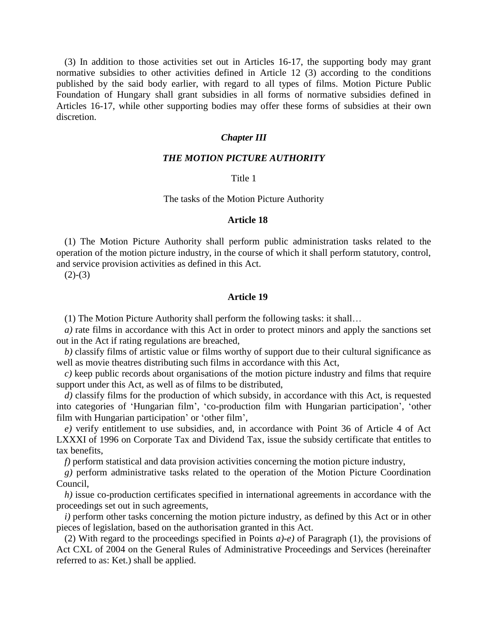(3) In addition to those activities set out in Articles 16-17, the supporting body may grant normative subsidies to other activities defined in Article 12 (3) according to the conditions published by the said body earlier, with regard to all types of films. Motion Picture Public Foundation of Hungary shall grant subsidies in all forms of normative subsidies defined in Articles 16-17, while other supporting bodies may offer these forms of subsidies at their own discretion.

## *Chapter III*

#### *THE MOTION PICTURE AUTHORITY*

## Title 1

The tasks of the Motion Picture Authority

## **Article 18**

(1) The Motion Picture Authority shall perform public administration tasks related to the operation of the motion picture industry, in the course of which it shall perform statutory, control, and service provision activities as defined in this Act.

 $(2)-(3)$ 

#### **Article 19**

(1) The Motion Picture Authority shall perform the following tasks: it shall…

*a)* rate films in accordance with this Act in order to protect minors and apply the sanctions set out in the Act if rating regulations are breached,

*b)* classify films of artistic value or films worthy of support due to their cultural significance as well as movie theatres distributing such films in accordance with this Act,

*c)* keep public records about organisations of the motion picture industry and films that require support under this Act, as well as of films to be distributed,

*d)* classify films for the production of which subsidy, in accordance with this Act, is requested into categories of 'Hungarian film', 'co-production film with Hungarian participation', 'other film with Hungarian participation' or 'other film',

*e)* verify entitlement to use subsidies, and, in accordance with Point 36 of Article 4 of Act LXXXI of 1996 on Corporate Tax and Dividend Tax, issue the subsidy certificate that entitles to tax benefits,

*f)* perform statistical and data provision activities concerning the motion picture industry,

*g)* perform administrative tasks related to the operation of the Motion Picture Coordination Council,

*h*) issue co-production certificates specified in international agreements in accordance with the proceedings set out in such agreements,

*i)* perform other tasks concerning the motion picture industry, as defined by this Act or in other pieces of legislation, based on the authorisation granted in this Act.

(2) With regard to the proceedings specified in Points *a)-e)* of Paragraph (1), the provisions of Act CXL of 2004 on the General Rules of Administrative Proceedings and Services (hereinafter referred to as: Ket.) shall be applied.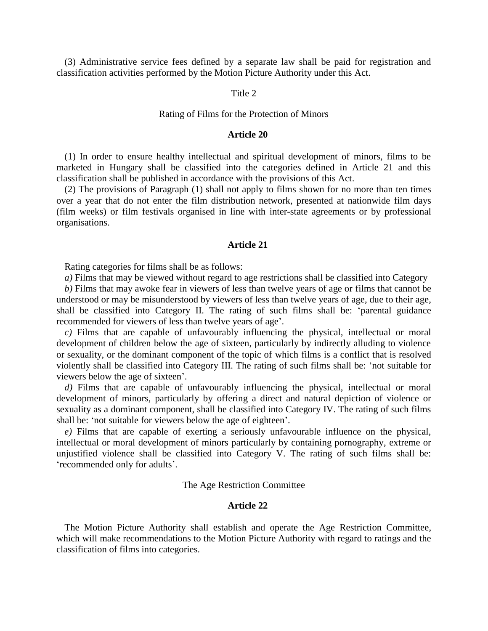(3) Administrative service fees defined by a separate law shall be paid for registration and classification activities performed by the Motion Picture Authority under this Act.

## Title 2

## Rating of Films for the Protection of Minors

### **Article 20**

(1) In order to ensure healthy intellectual and spiritual development of minors, films to be marketed in Hungary shall be classified into the categories defined in Article 21 and this classification shall be published in accordance with the provisions of this Act.

(2) The provisions of Paragraph (1) shall not apply to films shown for no more than ten times over a year that do not enter the film distribution network, presented at nationwide film days (film weeks) or film festivals organised in line with inter-state agreements or by professional organisations.

## **Article 21**

Rating categories for films shall be as follows:

*a)* Films that may be viewed without regard to age restrictions shall be classified into Category

*b)* Films that may awoke fear in viewers of less than twelve years of age or films that cannot be understood or may be misunderstood by viewers of less than twelve years of age, due to their age, shall be classified into Category II. The rating of such films shall be: "parental guidance recommended for viewers of less than twelve years of age".

*c)* Films that are capable of unfavourably influencing the physical, intellectual or moral development of children below the age of sixteen, particularly by indirectly alluding to violence or sexuality, or the dominant component of the topic of which films is a conflict that is resolved violently shall be classified into Category III. The rating of such films shall be: "not suitable for viewers below the age of sixteen".

*d)* Films that are capable of unfavourably influencing the physical, intellectual or moral development of minors, particularly by offering a direct and natural depiction of violence or sexuality as a dominant component, shall be classified into Category IV. The rating of such films shall be: "not suitable for viewers below the age of eighteen".

*e)* Films that are capable of exerting a seriously unfavourable influence on the physical, intellectual or moral development of minors particularly by containing pornography, extreme or unjustified violence shall be classified into Category V. The rating of such films shall be: 'recommended only for adults'.

The Age Restriction Committee

# **Article 22**

The Motion Picture Authority shall establish and operate the Age Restriction Committee, which will make recommendations to the Motion Picture Authority with regard to ratings and the classification of films into categories.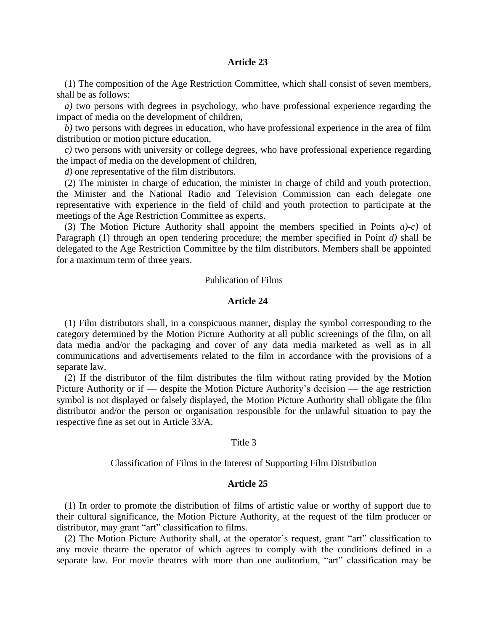#### **Article 23**

(1) The composition of the Age Restriction Committee, which shall consist of seven members, shall be as follows:

*a)* two persons with degrees in psychology, who have professional experience regarding the impact of media on the development of children,

*b)* two persons with degrees in education, who have professional experience in the area of film distribution or motion picture education,

*c)* two persons with university or college degrees, who have professional experience regarding the impact of media on the development of children,

*d*) one representative of the film distributors.

(2) The minister in charge of education, the minister in charge of child and youth protection, the Minister and the National Radio and Television Commission can each delegate one representative with experience in the field of child and youth protection to participate at the meetings of the Age Restriction Committee as experts.

(3) The Motion Picture Authority shall appoint the members specified in Points *a)-c)* of Paragraph (1) through an open tendering procedure; the member specified in Point *d)* shall be delegated to the Age Restriction Committee by the film distributors. Members shall be appointed for a maximum term of three years.

### Publication of Films

### **Article 24**

(1) Film distributors shall, in a conspicuous manner, display the symbol corresponding to the category determined by the Motion Picture Authority at all public screenings of the film, on all data media and/or the packaging and cover of any data media marketed as well as in all communications and advertisements related to the film in accordance with the provisions of a separate law.

(2) If the distributor of the film distributes the film without rating provided by the Motion Picture Authority or if — despite the Motion Picture Authority"s decision — the age restriction symbol is not displayed or falsely displayed, the Motion Picture Authority shall obligate the film distributor and/or the person or organisation responsible for the unlawful situation to pay the respective fine as set out in Article 33/A.

## Title 3

#### Classification of Films in the Interest of Supporting Film Distribution

#### **Article 25**

(1) In order to promote the distribution of films of artistic value or worthy of support due to their cultural significance, the Motion Picture Authority, at the request of the film producer or distributor, may grant "art" classification to films.

(2) The Motion Picture Authority shall, at the operator"s request, grant "art" classification to any movie theatre the operator of which agrees to comply with the conditions defined in a separate law. For movie theatres with more than one auditorium, "art" classification may be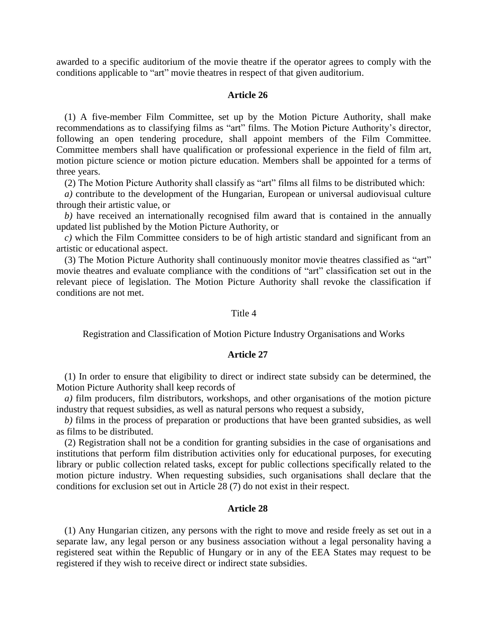awarded to a specific auditorium of the movie theatre if the operator agrees to comply with the conditions applicable to "art" movie theatres in respect of that given auditorium.

#### **Article 26**

(1) A five-member Film Committee, set up by the Motion Picture Authority, shall make recommendations as to classifying films as "art" films. The Motion Picture Authority"s director, following an open tendering procedure, shall appoint members of the Film Committee. Committee members shall have qualification or professional experience in the field of film art, motion picture science or motion picture education. Members shall be appointed for a terms of three years.

(2) The Motion Picture Authority shall classify as "art" films all films to be distributed which:

*a)* contribute to the development of the Hungarian, European or universal audiovisual culture through their artistic value, or

*b)* have received an internationally recognised film award that is contained in the annually updated list published by the Motion Picture Authority, or

*c)* which the Film Committee considers to be of high artistic standard and significant from an artistic or educational aspect.

(3) The Motion Picture Authority shall continuously monitor movie theatres classified as "art" movie theatres and evaluate compliance with the conditions of "art" classification set out in the relevant piece of legislation. The Motion Picture Authority shall revoke the classification if conditions are not met.

#### Title 4

Registration and Classification of Motion Picture Industry Organisations and Works

## **Article 27**

(1) In order to ensure that eligibility to direct or indirect state subsidy can be determined, the Motion Picture Authority shall keep records of

*a)* film producers, film distributors, workshops, and other organisations of the motion picture industry that request subsidies, as well as natural persons who request a subsidy,

*b)* films in the process of preparation or productions that have been granted subsidies, as well as films to be distributed.

(2) Registration shall not be a condition for granting subsidies in the case of organisations and institutions that perform film distribution activities only for educational purposes, for executing library or public collection related tasks, except for public collections specifically related to the motion picture industry. When requesting subsidies, such organisations shall declare that the conditions for exclusion set out in Article 28 (7) do not exist in their respect.

# **Article 28**

(1) Any Hungarian citizen, any persons with the right to move and reside freely as set out in a separate law, any legal person or any business association without a legal personality having a registered seat within the Republic of Hungary or in any of the EEA States may request to be registered if they wish to receive direct or indirect state subsidies.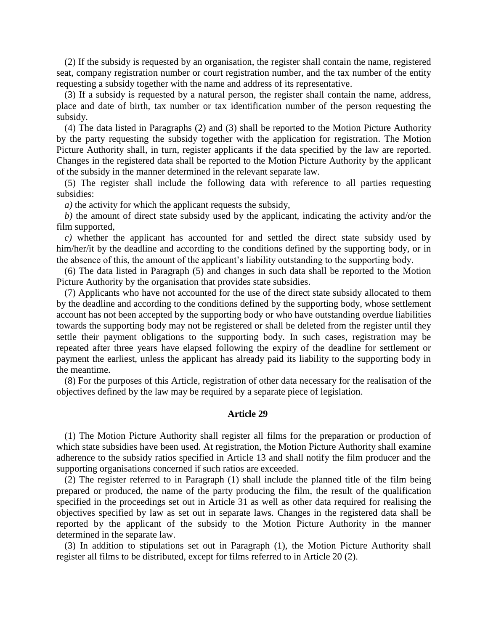(2) If the subsidy is requested by an organisation, the register shall contain the name, registered seat, company registration number or court registration number, and the tax number of the entity requesting a subsidy together with the name and address of its representative.

(3) If a subsidy is requested by a natural person, the register shall contain the name, address, place and date of birth, tax number or tax identification number of the person requesting the subsidy.

(4) The data listed in Paragraphs (2) and (3) shall be reported to the Motion Picture Authority by the party requesting the subsidy together with the application for registration. The Motion Picture Authority shall, in turn, register applicants if the data specified by the law are reported. Changes in the registered data shall be reported to the Motion Picture Authority by the applicant of the subsidy in the manner determined in the relevant separate law.

(5) The register shall include the following data with reference to all parties requesting subsidies:

*a)* the activity for which the applicant requests the subsidy,

*b)* the amount of direct state subsidy used by the applicant, indicating the activity and/or the film supported,

*c)* whether the applicant has accounted for and settled the direct state subsidy used by him/her/it by the deadline and according to the conditions defined by the supporting body, or in the absence of this, the amount of the applicant"s liability outstanding to the supporting body.

(6) The data listed in Paragraph (5) and changes in such data shall be reported to the Motion Picture Authority by the organisation that provides state subsidies.

(7) Applicants who have not accounted for the use of the direct state subsidy allocated to them by the deadline and according to the conditions defined by the supporting body, whose settlement account has not been accepted by the supporting body or who have outstanding overdue liabilities towards the supporting body may not be registered or shall be deleted from the register until they settle their payment obligations to the supporting body. In such cases, registration may be repeated after three years have elapsed following the expiry of the deadline for settlement or payment the earliest, unless the applicant has already paid its liability to the supporting body in the meantime.

(8) For the purposes of this Article, registration of other data necessary for the realisation of the objectives defined by the law may be required by a separate piece of legislation.

## **Article 29**

(1) The Motion Picture Authority shall register all films for the preparation or production of which state subsidies have been used. At registration, the Motion Picture Authority shall examine adherence to the subsidy ratios specified in Article 13 and shall notify the film producer and the supporting organisations concerned if such ratios are exceeded.

(2) The register referred to in Paragraph (1) shall include the planned title of the film being prepared or produced, the name of the party producing the film, the result of the qualification specified in the proceedings set out in Article 31 as well as other data required for realising the objectives specified by law as set out in separate laws. Changes in the registered data shall be reported by the applicant of the subsidy to the Motion Picture Authority in the manner determined in the separate law.

(3) In addition to stipulations set out in Paragraph (1), the Motion Picture Authority shall register all films to be distributed, except for films referred to in Article 20 (2).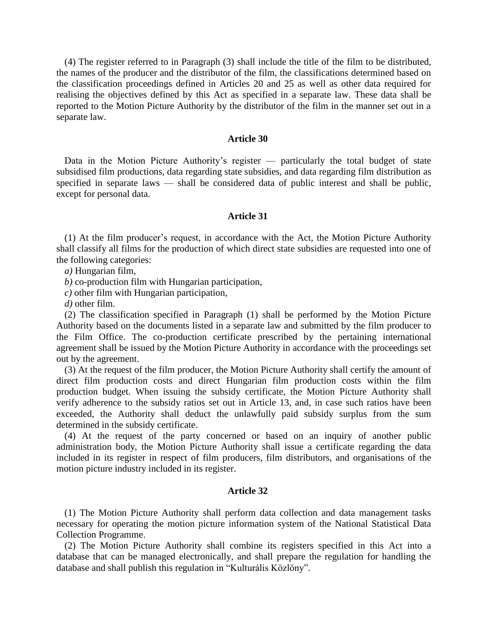(4) The register referred to in Paragraph (3) shall include the title of the film to be distributed, the names of the producer and the distributor of the film, the classifications determined based on the classification proceedings defined in Articles 20 and 25 as well as other data required for realising the objectives defined by this Act as specified in a separate law. These data shall be reported to the Motion Picture Authority by the distributor of the film in the manner set out in a separate law.

### **Article 30**

Data in the Motion Picture Authority's register — particularly the total budget of state subsidised film productions, data regarding state subsidies, and data regarding film distribution as specified in separate laws — shall be considered data of public interest and shall be public, except for personal data.

## **Article 31**

(1) At the film producer"s request, in accordance with the Act, the Motion Picture Authority shall classify all films for the production of which direct state subsidies are requested into one of the following categories:

*a)* Hungarian film,

*b)* co-production film with Hungarian participation,

*c)* other film with Hungarian participation,

*d)* other film.

(2) The classification specified in Paragraph (1) shall be performed by the Motion Picture Authority based on the documents listed in a separate law and submitted by the film producer to the Film Office. The co-production certificate prescribed by the pertaining international agreement shall be issued by the Motion Picture Authority in accordance with the proceedings set out by the agreement.

(3) At the request of the film producer, the Motion Picture Authority shall certify the amount of direct film production costs and direct Hungarian film production costs within the film production budget. When issuing the subsidy certificate, the Motion Picture Authority shall verify adherence to the subsidy ratios set out in Article 13, and, in case such ratios have been exceeded, the Authority shall deduct the unlawfully paid subsidy surplus from the sum determined in the subsidy certificate.

(4) At the request of the party concerned or based on an inquiry of another public administration body, the Motion Picture Authority shall issue a certificate regarding the data included in its register in respect of film producers, film distributors, and organisations of the motion picture industry included in its register.

## **Article 32**

(1) The Motion Picture Authority shall perform data collection and data management tasks necessary for operating the motion picture information system of the National Statistical Data Collection Programme.

(2) The Motion Picture Authority shall combine its registers specified in this Act into a database that can be managed electronically, and shall prepare the regulation for handling the database and shall publish this regulation in "Kulturális Közlöny".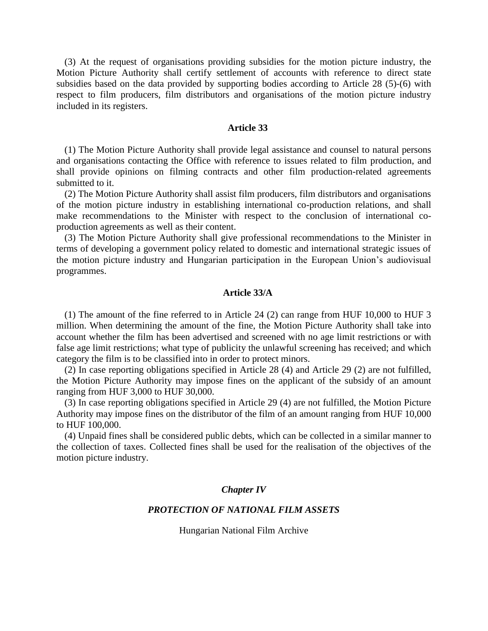(3) At the request of organisations providing subsidies for the motion picture industry, the Motion Picture Authority shall certify settlement of accounts with reference to direct state subsidies based on the data provided by supporting bodies according to Article 28 (5)-(6) with respect to film producers, film distributors and organisations of the motion picture industry included in its registers.

## **Article 33**

(1) The Motion Picture Authority shall provide legal assistance and counsel to natural persons and organisations contacting the Office with reference to issues related to film production, and shall provide opinions on filming contracts and other film production-related agreements submitted to it.

(2) The Motion Picture Authority shall assist film producers, film distributors and organisations of the motion picture industry in establishing international co-production relations, and shall make recommendations to the Minister with respect to the conclusion of international coproduction agreements as well as their content.

(3) The Motion Picture Authority shall give professional recommendations to the Minister in terms of developing a government policy related to domestic and international strategic issues of the motion picture industry and Hungarian participation in the European Union"s audiovisual programmes.

## **Article 33/A**

(1) The amount of the fine referred to in Article 24 (2) can range from HUF 10,000 to HUF 3 million. When determining the amount of the fine, the Motion Picture Authority shall take into account whether the film has been advertised and screened with no age limit restrictions or with false age limit restrictions; what type of publicity the unlawful screening has received; and which category the film is to be classified into in order to protect minors.

(2) In case reporting obligations specified in Article 28 (4) and Article 29 (2) are not fulfilled, the Motion Picture Authority may impose fines on the applicant of the subsidy of an amount ranging from HUF 3,000 to HUF 30,000.

(3) In case reporting obligations specified in Article 29 (4) are not fulfilled, the Motion Picture Authority may impose fines on the distributor of the film of an amount ranging from HUF 10,000 to HUF 100,000.

(4) Unpaid fines shall be considered public debts, which can be collected in a similar manner to the collection of taxes. Collected fines shall be used for the realisation of the objectives of the motion picture industry.

## *Chapter IV*

## *PROTECTION OF NATIONAL FILM ASSETS*

Hungarian National Film Archive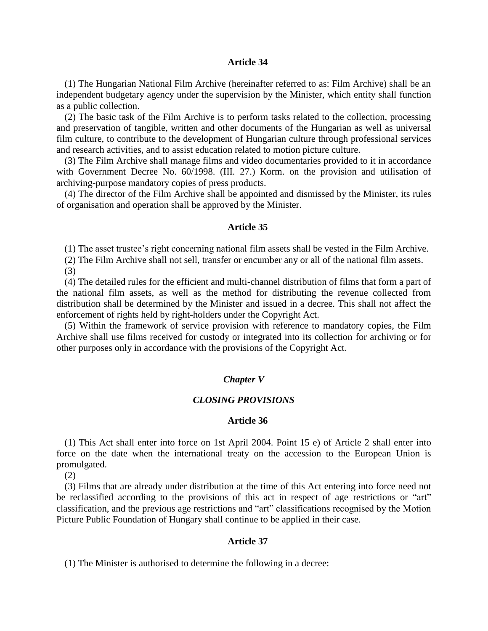# **Article 34**

(1) The Hungarian National Film Archive (hereinafter referred to as: Film Archive) shall be an independent budgetary agency under the supervision by the Minister, which entity shall function as a public collection.

(2) The basic task of the Film Archive is to perform tasks related to the collection, processing and preservation of tangible, written and other documents of the Hungarian as well as universal film culture, to contribute to the development of Hungarian culture through professional services and research activities, and to assist education related to motion picture culture.

(3) The Film Archive shall manage films and video documentaries provided to it in accordance with Government Decree No. 60/1998. (III. 27.) Korm. on the provision and utilisation of archiving-purpose mandatory copies of press products.

(4) The director of the Film Archive shall be appointed and dismissed by the Minister, its rules of organisation and operation shall be approved by the Minister.

#### **Article 35**

(1) The asset trustee"s right concerning national film assets shall be vested in the Film Archive.

(2) The Film Archive shall not sell, transfer or encumber any or all of the national film assets.

(3)

(4) The detailed rules for the efficient and multi-channel distribution of films that form a part of the national film assets, as well as the method for distributing the revenue collected from distribution shall be determined by the Minister and issued in a decree. This shall not affect the enforcement of rights held by right-holders under the Copyright Act.

(5) Within the framework of service provision with reference to mandatory copies, the Film Archive shall use films received for custody or integrated into its collection for archiving or for other purposes only in accordance with the provisions of the Copyright Act.

## *Chapter V*

#### *CLOSING PROVISIONS*

## **Article 36**

(1) This Act shall enter into force on 1st April 2004. Point 15 e) of Article 2 shall enter into force on the date when the international treaty on the accession to the European Union is promulgated.

(2)

(3) Films that are already under distribution at the time of this Act entering into force need not be reclassified according to the provisions of this act in respect of age restrictions or "art" classification, and the previous age restrictions and "art" classifications recognised by the Motion Picture Public Foundation of Hungary shall continue to be applied in their case.

### **Article 37**

(1) The Minister is authorised to determine the following in a decree: